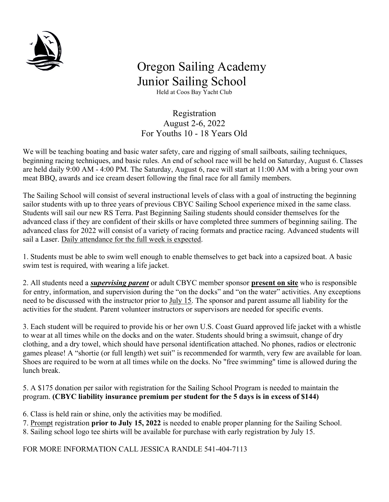

## Oregon Sailing Academy Junior Sailing School

Held at Coos Bay Yacht Club

 Registration August 2-6, 2022 For Youths 10 - 18 Years Old

We will be teaching boating and basic water safety, care and rigging of small sailboats, sailing techniques, beginning racing techniques, and basic rules. An end of school race will be held on Saturday, August 6. Classes are held daily 9:00 AM - 4:00 PM. The Saturday, August 6, race will start at 11:00 AM with a bring your own meat BBQ, awards and ice cream desert following the final race for all family members.

The Sailing School will consist of several instructional levels of class with a goal of instructing the beginning sailor students with up to three years of previous CBYC Sailing School experience mixed in the same class. Students will sail our new RS Terra. Past Beginning Sailing students should consider themselves for the advanced class if they are confident of their skills or have completed three summers of beginning sailing. The advanced class for 2022 will consist of a variety of racing formats and practice racing. Advanced students will sail a Laser. Daily attendance for the full week is expected.

1. Students must be able to swim well enough to enable themselves to get back into a capsized boat. A basic swim test is required, with wearing a life jacket.

2. All students need a *supervising parent* or adult CBYC member sponsor **present on site** who is responsible for entry, information, and supervision during the "on the docks" and "on the water" activities. Any exceptions need to be discussed with the instructor prior to July 15. The sponsor and parent assume all liability for the activities for the student. Parent volunteer instructors or supervisors are needed for specific events.

3. Each student will be required to provide his or her own U.S. Coast Guard approved life jacket with a whistle to wear at all times while on the docks and on the water. Students should bring a swimsuit, change of dry clothing, and a dry towel, which should have personal identification attached. No phones, radios or electronic games please! A "shortie (or full length) wet suit" is recommended for warmth, very few are available for loan. Shoes are required to be worn at all times while on the docks. No "free swimming" time is allowed during the lunch break.

5. A \$175 donation per sailor with registration for the Sailing School Program is needed to maintain the program. (CBYC liability insurance premium per student for the 5 days is in excess of \$144)

6. Class is held rain or shine, only the activities may be modified.

7. Prompt registration **prior to July 15, 2022** is needed to enable proper planning for the Sailing School.

8. Sailing school logo tee shirts will be available for purchase with early registration by July 15.

FOR MORE INFORMATION CALL JESSICA RANDLE 541-404-7113